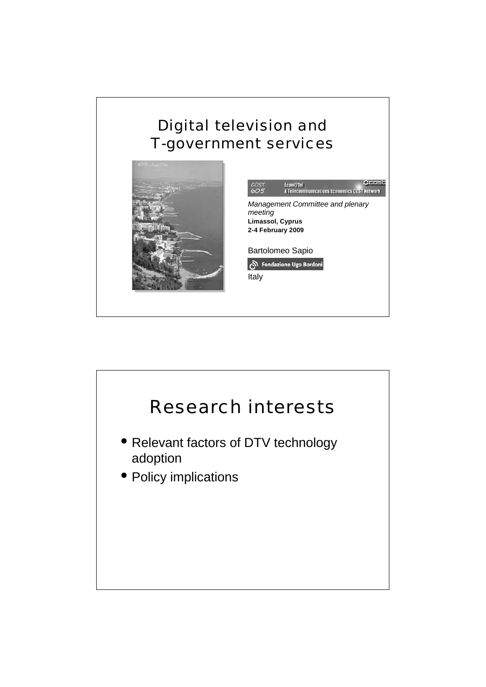#### Digital television and T-government services



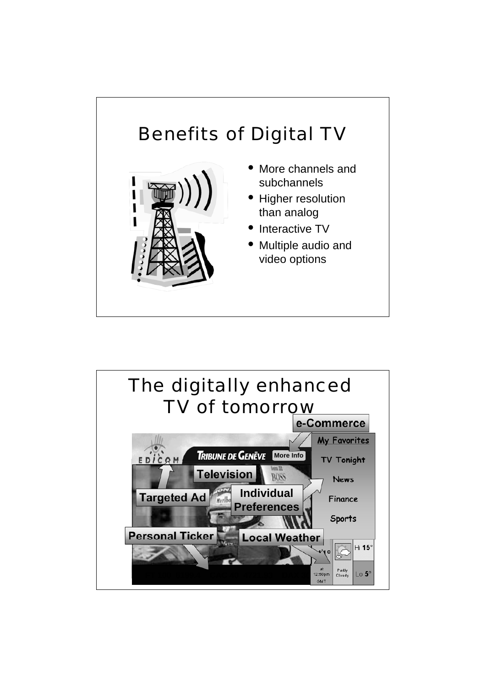### Benefits of Digital TV • More channels and subchannels

- Higher resolution than analog
- Interactive TV
- Multiple audio and video options

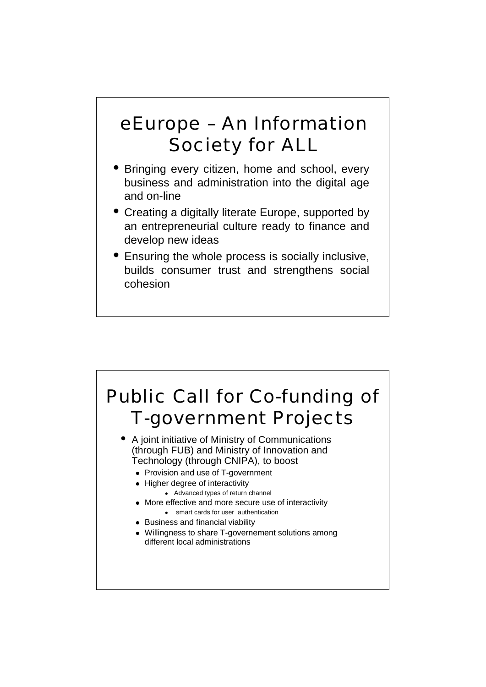#### eEurope – An Information Society for ALL

- Bringing every citizen, home and school, every business and administration into the digital age and on-line
- Creating a digitally literate Europe, supported by an entrepreneurial culture ready to finance and develop new ideas
- Ensuring the whole process is socially inclusive, builds consumer trust and strengthens social cohesion

# Public Call for Co-funding of T-government Projects

- A joint initiative of Ministry of Communications (through FUB) and Ministry of Innovation and Technology (through CNIPA), to boost
	- Provision and use of T-government
	- Higher degree of interactivity
		- Advanced types of return channel
	- More effective and more secure use of interactivity
	- smart cards for user authentication
	- Business and financial viability
	- Willingness to share T-governement solutions among different local administrations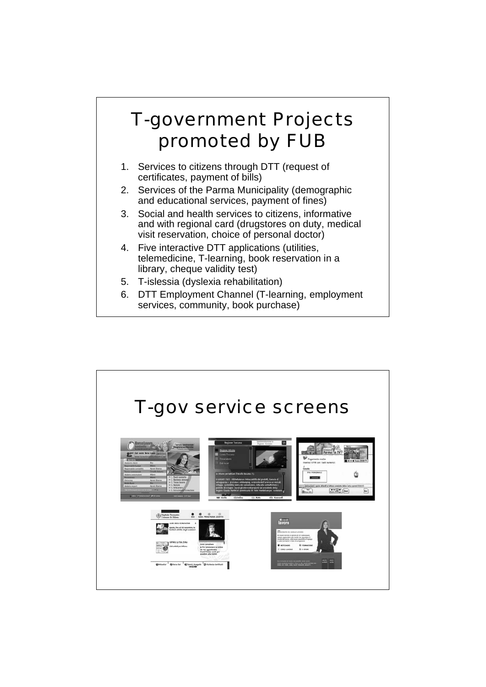#### T-government Projects promoted by FUB

- 1. Services to citizens through DTT (request of certificates, payment of bills)
- 2. Services of the Parma Municipality (demographic and educational services, payment of fines)
- 3. Social and health services to citizens, informative and with regional card (drugstores on duty, medical visit reservation, choice of personal doctor)
- 4. Five interactive DTT applications (utilities, telemedicine, T-learning, book reservation in a library, cheque validity test)
- 5. T-islessia (dyslexia rehabilitation)
- 6. DTT Employment Channel (T-learning, employment services, community, book purchase)

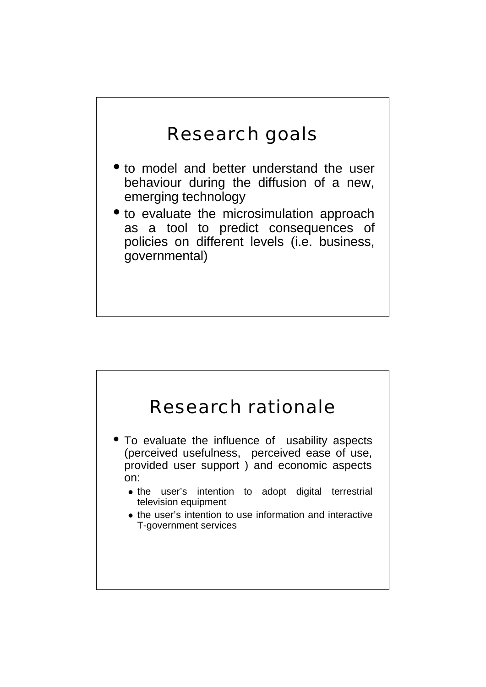#### Research goals

- to model and better understand the user behaviour during the diffusion of a new, emerging technology
- to evaluate the microsimulation approach as a tool to predict consequences of policies on different levels (i.e. business, governmental)

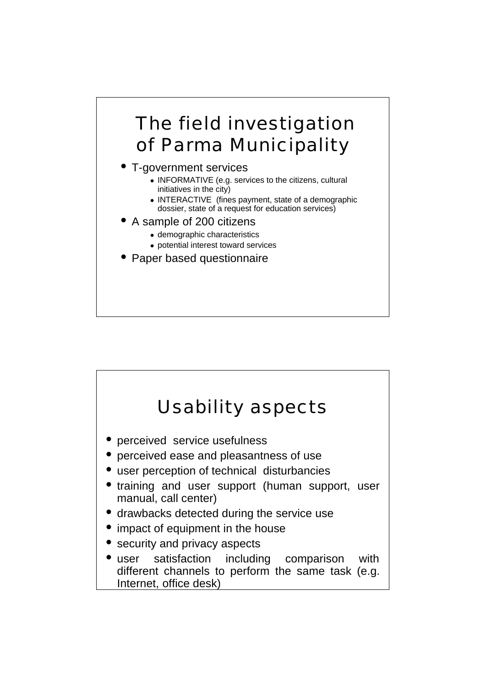#### The field investigation of Parma Municipality

- T-government services
	- INFORMATIVE (e.g. services to the citizens, cultural initiatives in the city)
	- INTERACTIVE (fines payment, state of a demographic dossier, state of a request for education services)
- A sample of 200 citizens
	- demographic characteristics
	- potential interest toward services
- Paper based questionnaire

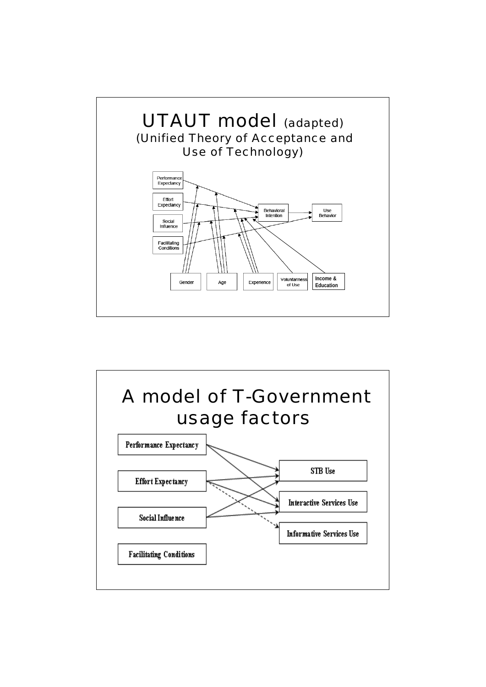

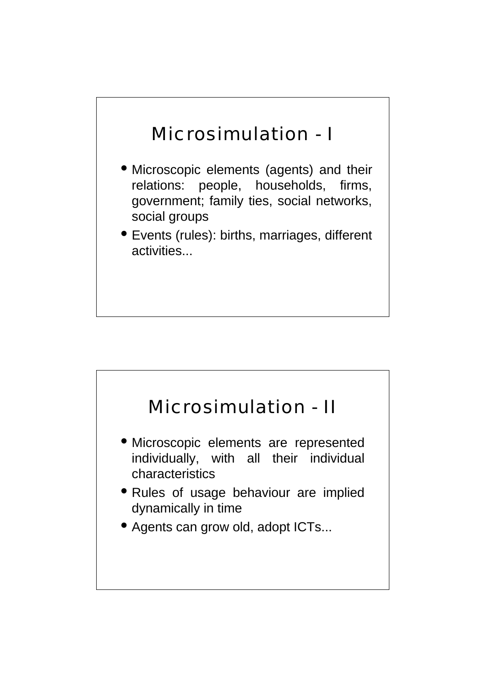#### Microsimulation - I

- Microscopic elements (agents) and their relations: people, households, firms, government; family ties, social networks, social groups
- Events (rules): births, marriages, different activities...

## Microsimulation - II

- Microscopic elements are represented individually, with all their individual characteristics
- Rules of usage behaviour are implied dynamically in time
- Agents can grow old, adopt ICTs...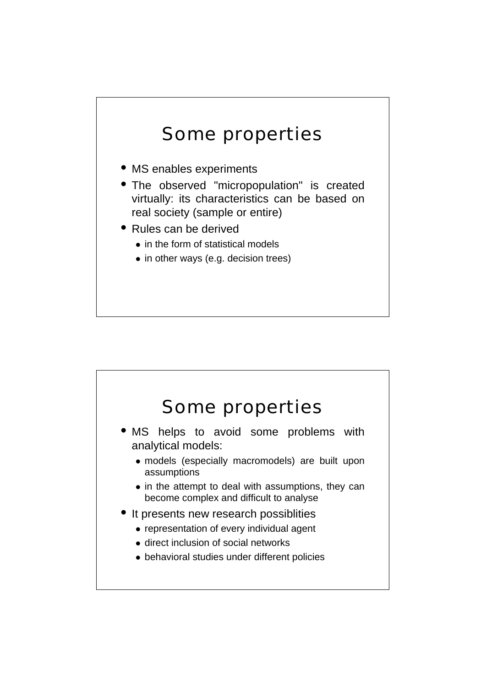#### Some properties

- MS enables experiments
- The observed "micropopulation" is created virtually: its characteristics can be based on real society (sample or entire)
- Rules can be derived
	- in the form of statistical models
	- in other ways (e.g. decision trees)

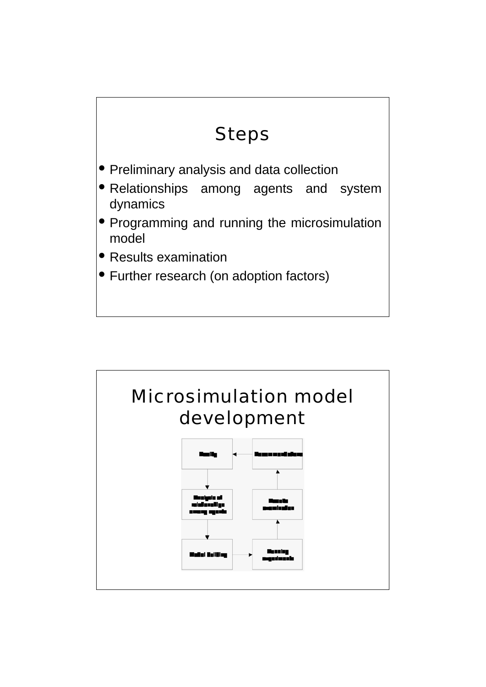#### Steps

- Preliminary analysis and data collection
- Relationships among agents and system dynamics
- Programming and running the microsimulation model
- Results examination
- Further research (on adoption factors)

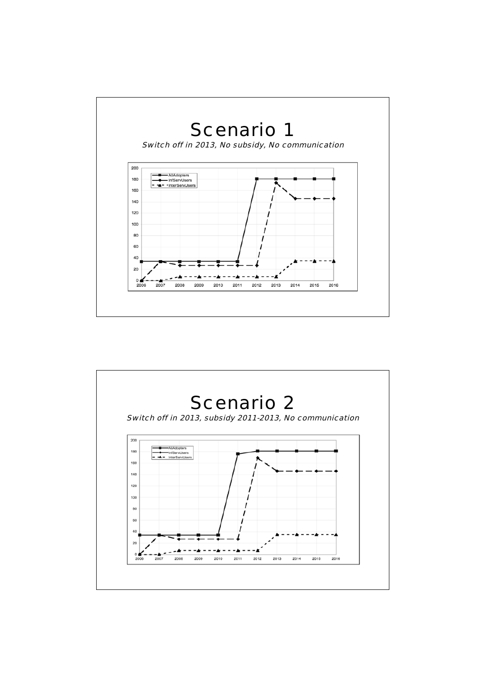

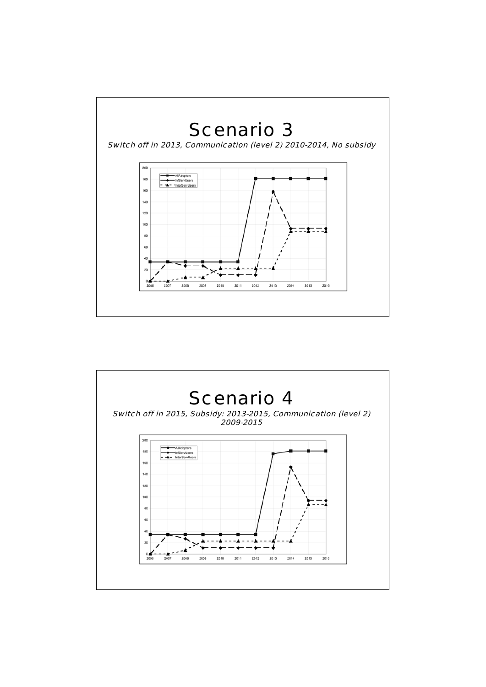